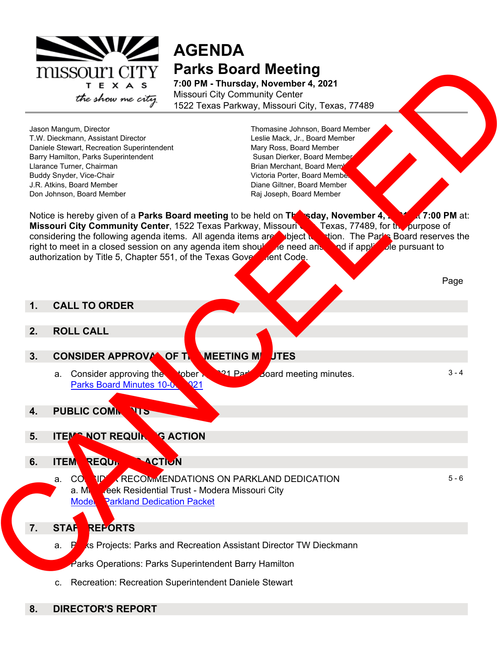

# **AGENDA Parks Board Meeting**

**7:00 PM - Thursday, November 4, 2021** Missouri City Community Center 1522 Texas Parkway, Missouri City, Texas, 77489

Jason Mangum, Director T.W. Dieckmann, Assistant Director Daniele Stewart, Recreation Superintendent Barry Hamilton, Parks Superintendent Llarance Turner, Chairman Buddy Snyder, Vice-Chair J.R. Atkins, Board Member Don Johnson, Board Member

Thomasine Johnson, Board Member Leslie Mack, Jr., Board Member Mary Ross, Board Member Susan Dierker, Board Member Brian Merchant, Board Memb Victoria Porter, Board Member Diane Giltner, Board Member Raj Joseph, Board Member

Notice is hereby given of a **Parks Board meeting** to be held on **Thursday, November 4, 2021, at 7:00 PM** at: **Missouri City Community Center**, 1522 Texas Parkway, Missouri **Canadian Texas, 77489**, for the purpose of considering the following agenda items. All agenda items are subject to action. The Parks Board reserves the right to meet in a closed session on any agenda item should the need arise and if applicate pursuant to authorization by Title 5, Chapter 551, of the Texas Government Code. TRISSO UTIL CHILIY Partis Board Meeting<br>
The state was different to the most will be a state of the state of the state of the state of the state of the state of the state of the state of the state of the state of the state

## **1. CALL TO ORDER**

- **2. ROLL CALL**
- **3.** CONSIDER APPROVAL OF THE MEETING MILLITES
	- a. Consider approving the **Notifiable 1944 Parks Board meeting minutes.** Parks Board Minutes 10-07-21  $3 - 4$
- **4. PUBLIC COMMENTS**
- **5. ITEM NOT REQUIRING ACTION**
- **6. ITEM REQUIP ACTIVN** 
	- a. CONNINUMERRECOMMENDATIONS ON PARKLAND DEDICATION a. Mill Creek Residential Trust - Modera Missouri City **Model Parkland Dedication Packet**

5 - 6

Page

- **7.** STAF REPORTS
	- a. Parks Projects: Parks and Recreation Assistant Director TW Dieckmann
		- Parks Operations: Parks Superintendent Barry Hamilton
	- c. Recreation: Recreation Superintendent Daniele Stewart